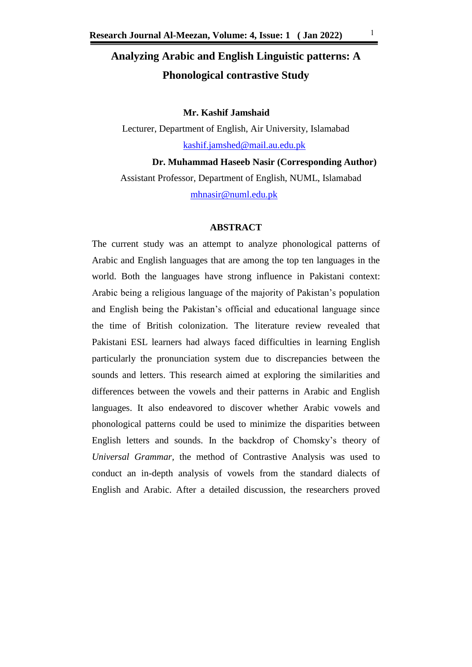# **Analyzing Arabic and English Linguistic patterns: A Phonological contrastive Study**

# **Mr. Kashif Jamshaid**

Lecturer, Department of English, Air University, Islamabad [kashif.jamshed@mail.au.edu.pk](mailto:kashif.jamshed@mail.au.edu.pk)

**Dr. Muhammad Haseeb Nasir (Corresponding Author)**  Assistant Professor, Department of English, NUML, Islamabad [mhnasir@numl.edu.pk](mailto:mhnasir@numl.edu.pk)

#### **ABSTRACT**

The current study was an attempt to analyze phonological patterns of Arabic and English languages that are among the top ten languages in the world. Both the languages have strong influence in Pakistani context: Arabic being a religious language of the majority of Pakistan's population and English being the Pakistan's official and educational language since the time of British colonization. The literature review revealed that Pakistani ESL learners had always faced difficulties in learning English particularly the pronunciation system due to discrepancies between the sounds and letters. This research aimed at exploring the similarities and differences between the vowels and their patterns in Arabic and English languages. It also endeavored to discover whether Arabic vowels and phonological patterns could be used to minimize the disparities between English letters and sounds. In the backdrop of Chomsky's theory of *Universal Grammar,* the method of Contrastive Analysis was used to conduct an in-depth analysis of vowels from the standard dialects of English and Arabic. After a detailed discussion, the researchers proved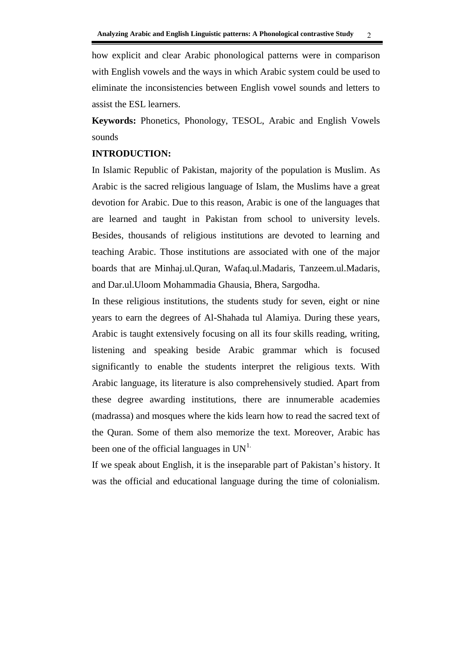how explicit and clear Arabic phonological patterns were in comparison with English vowels and the ways in which Arabic system could be used to eliminate the inconsistencies between English vowel sounds and letters to assist the ESL learners.

**Keywords:** Phonetics, Phonology, TESOL, Arabic and English Vowels sounds

# **INTRODUCTION:**

In Islamic Republic of Pakistan, majority of the population is Muslim. As Arabic is the sacred religious language of Islam, the Muslims have a great devotion for Arabic. Due to this reason, Arabic is one of the languages that are learned and taught in Pakistan from school to university levels. Besides, thousands of religious institutions are devoted to learning and teaching Arabic. Those institutions are associated with one of the major boards that are Minhaj.ul.Quran, Wafaq.ul.Madaris, Tanzeem.ul.Madaris, and Dar.ul.Uloom Mohammadia Ghausia, Bhera, Sargodha.

In these religious institutions, the students study for seven, eight or nine years to earn the degrees of Al-Shahada tul Alamiya. During these years, Arabic is taught extensively focusing on all its four skills reading, writing, listening and speaking beside Arabic grammar which is focused significantly to enable the students interpret the religious texts. With Arabic language, its literature is also comprehensively studied. Apart from these degree awarding institutions, there are innumerable academies (madrassa) and mosques where the kids learn how to read the sacred text of the Quran. Some of them also memorize the text. Moreover, Arabic has been one of the official languages in  $UN<sup>1</sup>$ .

If we speak about English, it is the inseparable part of Pakistan's history. It was the official and educational language during the time of colonialism.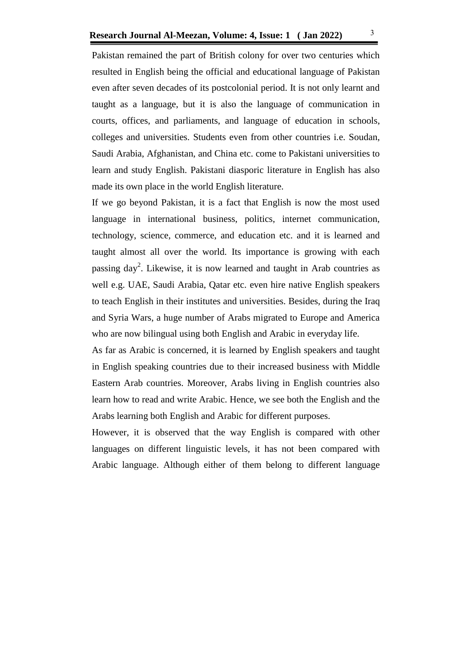Pakistan remained the part of British colony for over two centuries which resulted in English being the official and educational language of Pakistan even after seven decades of its postcolonial period. It is not only learnt and taught as a language, but it is also the language of communication in courts, offices, and parliaments, and language of education in schools, colleges and universities. Students even from other countries i.e. Soudan, Saudi Arabia, Afghanistan, and China etc. come to Pakistani universities to learn and study English. Pakistani diasporic literature in English has also made its own place in the world English literature.

If we go beyond Pakistan, it is a fact that English is now the most used language in international business, politics, internet communication, technology, science, commerce, and education etc. and it is learned and taught almost all over the world. Its importance is growing with each passing day<sup>2</sup>. Likewise, it is now learned and taught in Arab countries as well e.g. UAE, Saudi Arabia, Qatar etc. even hire native English speakers to teach English in their institutes and universities. Besides, during the Iraq and Syria Wars, a huge number of Arabs migrated to Europe and America who are now bilingual using both English and Arabic in everyday life.

As far as Arabic is concerned, it is learned by English speakers and taught in English speaking countries due to their increased business with Middle Eastern Arab countries. Moreover, Arabs living in English countries also learn how to read and write Arabic. Hence, we see both the English and the Arabs learning both English and Arabic for different purposes.

However, it is observed that the way English is compared with other languages on different linguistic levels, it has not been compared with Arabic language. Although either of them belong to different language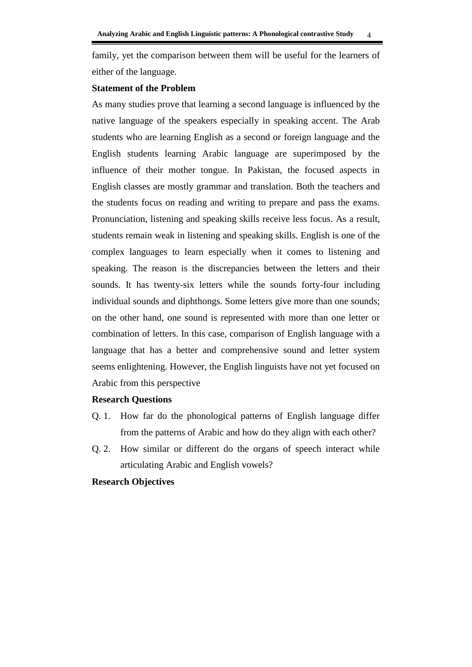family, yet the comparison between them will be useful for the learners of either of the language.

#### **Statement of the Problem**

As many studies prove that learning a second language is influenced by the native language of the speakers especially in speaking accent. The Arab students who are learning English as a second or foreign language and the English students learning Arabic language are superimposed by the influence of their mother tongue. In Pakistan, the focused aspects in English classes are mostly grammar and translation. Both the teachers and the students focus on reading and writing to prepare and pass the exams. Pronunciation, listening and speaking skills receive less focus. As a result, students remain weak in listening and speaking skills. English is one of the complex languages to learn especially when it comes to listening and speaking. The reason is the discrepancies between the letters and their sounds. It has twenty-six letters while the sounds forty-four including individual sounds and diphthongs. Some letters give more than one sounds; on the other hand, one sound is represented with more than one letter or combination of letters. In this case, comparison of English language with a language that has a better and comprehensive sound and letter system seems enlightening. However, the English linguists have not yet focused on Arabic from this perspective

#### **Research Questions**

- Q. 1. How far do the phonological patterns of English language differ from the patterns of Arabic and how do they align with each other?
- Q. 2. How similar or different do the organs of speech interact while articulating Arabic and English vowels?

#### **Research Objectives**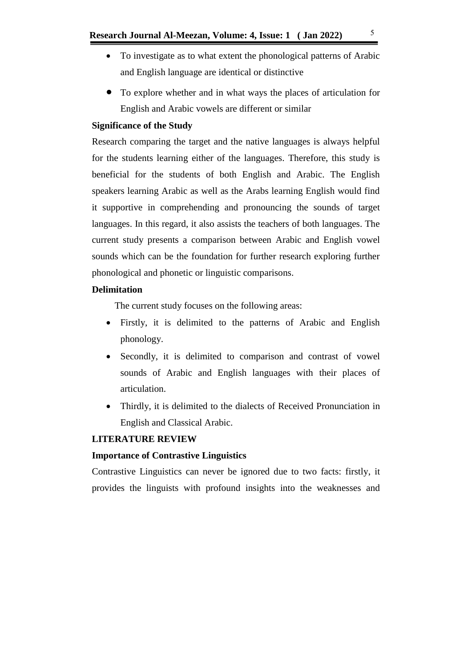- To investigate as to what extent the phonological patterns of Arabic and English language are identical or distinctive
- To explore whether and in what ways the places of articulation for English and Arabic vowels are different or similar

# **Significance of the Study**

Research comparing the target and the native languages is always helpful for the students learning either of the languages. Therefore, this study is beneficial for the students of both English and Arabic. The English speakers learning Arabic as well as the Arabs learning English would find it supportive in comprehending and pronouncing the sounds of target languages. In this regard, it also assists the teachers of both languages. The current study presents a comparison between Arabic and English vowel sounds which can be the foundation for further research exploring further phonological and phonetic or linguistic comparisons.

# **Delimitation**

The current study focuses on the following areas:

- Firstly, it is delimited to the patterns of Arabic and English phonology.
- Secondly, it is delimited to comparison and contrast of vowel sounds of Arabic and English languages with their places of articulation.
- Thirdly, it is delimited to the dialects of Received Pronunciation in English and Classical Arabic.

# **LITERATURE REVIEW**

### **Importance of Contrastive Linguistics**

Contrastive Linguistics can never be ignored due to two facts: firstly, it provides the linguists with profound insights into the weaknesses and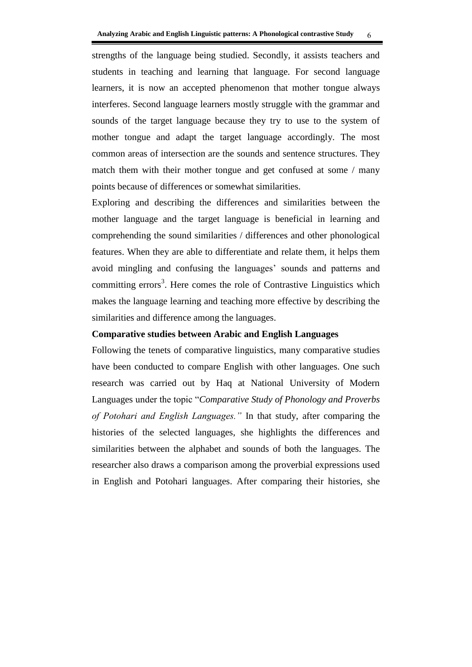strengths of the language being studied. Secondly, it assists teachers and students in teaching and learning that language. For second language learners, it is now an accepted phenomenon that mother tongue always interferes. Second language learners mostly struggle with the grammar and sounds of the target language because they try to use to the system of mother tongue and adapt the target language accordingly. The most common areas of intersection are the sounds and sentence structures. They match them with their mother tongue and get confused at some / many points because of differences or somewhat similarities.

Exploring and describing the differences and similarities between the mother language and the target language is beneficial in learning and comprehending the sound similarities / differences and other phonological features. When they are able to differentiate and relate them, it helps them avoid mingling and confusing the languages' sounds and patterns and committing errors<sup>3</sup>. Here comes the role of Contrastive Linguistics which makes the language learning and teaching more effective by describing the similarities and difference among the languages.

# **Comparative studies between Arabic and English Languages**

Following the tenets of comparative linguistics, many comparative studies have been conducted to compare English with other languages. One such research was carried out by Haq at National University of Modern Languages under the topic "*Comparative Study of Phonology and Proverbs of Potohari and English Languages."* In that study, after comparing the histories of the selected languages, she highlights the differences and similarities between the alphabet and sounds of both the languages. The researcher also draws a comparison among the proverbial expressions used in English and Potohari languages. After comparing their histories, she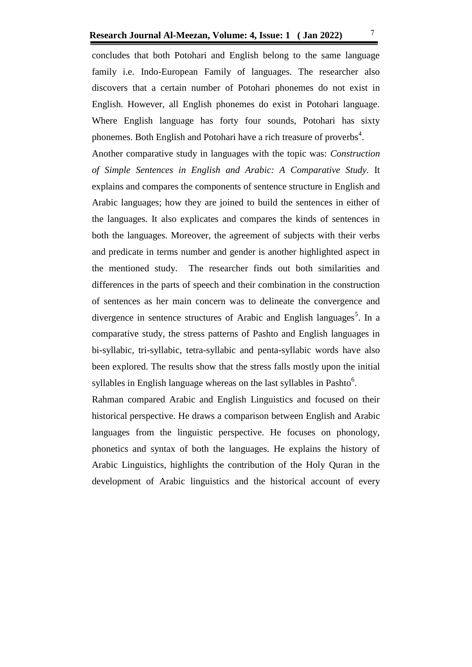concludes that both Potohari and English belong to the same language family i.e. Indo-European Family of languages. The researcher also discovers that a certain number of Potohari phonemes do not exist in English. However, all English phonemes do exist in Potohari language. Where English language has forty four sounds, Potohari has sixty phonemes. Both English and Potohari have a rich treasure of proverbs<sup>4</sup>.

Another comparative study in languages with the topic was: *Construction of Simple Sentences in English and Arabic: A Comparative Study.* It explains and compares the components of sentence structure in English and Arabic languages; how they are joined to build the sentences in either of the languages. It also explicates and compares the kinds of sentences in both the languages. Moreover, the agreement of subjects with their verbs and predicate in terms number and gender is another highlighted aspect in the mentioned study. The researcher finds out both similarities and differences in the parts of speech and their combination in the construction of sentences as her main concern was to delineate the convergence and divergence in sentence structures of Arabic and English languages<sup>5</sup>. In a comparative study, the stress patterns of Pashto and English languages in bi-syllabic, tri-syllabic, tetra-syllabic and penta-syllabic words have also been explored. The results show that the stress falls mostly upon the initial syllables in English language whereas on the last syllables in Pashto $6$ .

Rahman compared Arabic and English Linguistics and focused on their historical perspective. He draws a comparison between English and Arabic languages from the linguistic perspective. He focuses on phonology, phonetics and syntax of both the languages. He explains the history of Arabic Linguistics, highlights the contribution of the Holy Quran in the development of Arabic linguistics and the historical account of every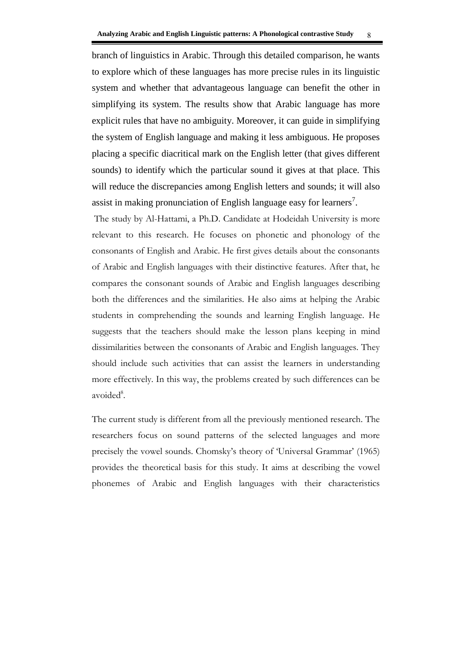branch of linguistics in Arabic. Through this detailed comparison, he wants to explore which of these languages has more precise rules in its linguistic system and whether that advantageous language can benefit the other in simplifying its system. The results show that Arabic language has more explicit rules that have no ambiguity. Moreover, it can guide in simplifying the system of English language and making it less ambiguous. He proposes placing a specific diacritical mark on the English letter (that gives different sounds) to identify which the particular sound it gives at that place. This will reduce the discrepancies among English letters and sounds; it will also assist in making pronunciation of English language easy for learners<sup>7</sup>.

The study by Al-Hattami, a Ph.D. Candidate at Hodeidah University is more relevant to this research. He focuses on phonetic and phonology of the consonants of English and Arabic. He first gives details about the consonants of Arabic and English languages with their distinctive features. After that, he compares the consonant sounds of Arabic and English languages describing both the differences and the similarities. He also aims at helping the Arabic students in comprehending the sounds and learning English language. He suggests that the teachers should make the lesson plans keeping in mind dissimilarities between the consonants of Arabic and English languages. They should include such activities that can assist the learners in understanding more effectively. In this way, the problems created by such differences can be avoided<sup>8</sup>.

The current study is different from all the previously mentioned research. The researchers focus on sound patterns of the selected languages and more precisely the vowel sounds. Chomsky's theory of 'Universal Grammar' (1965) provides the theoretical basis for this study. It aims at describing the vowel phonemes of Arabic and English languages with their characteristics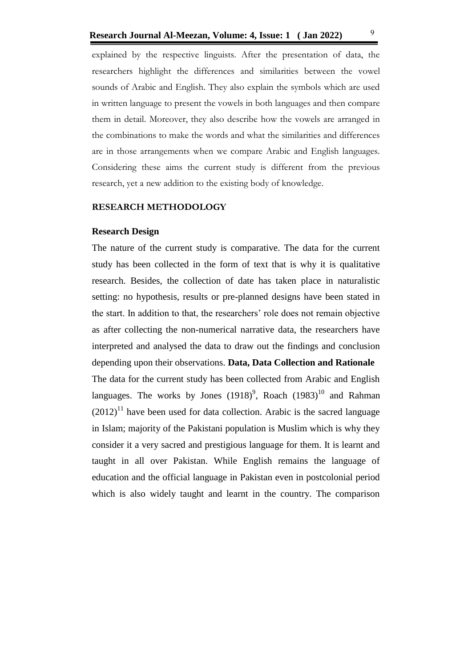explained by the respective linguists. After the presentation of data, the researchers highlight the differences and similarities between the vowel sounds of Arabic and English. They also explain the symbols which are used in written language to present the vowels in both languages and then compare them in detail. Moreover, they also describe how the vowels are arranged in the combinations to make the words and what the similarities and differences are in those arrangements when we compare Arabic and English languages. Considering these aims the current study is different from the previous research, yet a new addition to the existing body of knowledge.

#### **RESEARCH METHODOLOGY**

#### **Research Design**

The nature of the current study is comparative. The data for the current study has been collected in the form of text that is why it is qualitative research. Besides, the collection of date has taken place in naturalistic setting: no hypothesis, results or pre-planned designs have been stated in the start. In addition to that, the researchers' role does not remain objective as after collecting the non-numerical narrative data, the researchers have interpreted and analysed the data to draw out the findings and conclusion depending upon their observations. **Data, Data Collection and Rationale** The data for the current study has been collected from Arabic and English languages. The works by Jones  $(1918)^9$ , Roach  $(1983)^{10}$  and Rahman  $(2012)^{11}$  have been used for data collection. Arabic is the sacred language in Islam; majority of the Pakistani population is Muslim which is why they consider it a very sacred and prestigious language for them. It is learnt and taught in all over Pakistan. While English remains the language of education and the official language in Pakistan even in postcolonial period which is also widely taught and learnt in the country. The comparison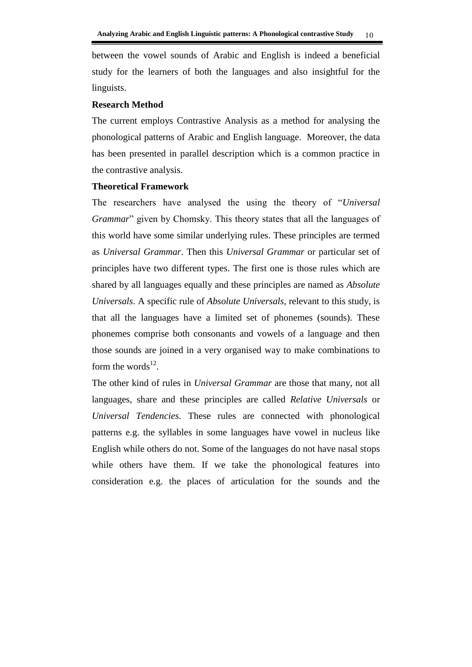between the vowel sounds of Arabic and English is indeed a beneficial study for the learners of both the languages and also insightful for the linguists.

#### **Research Method**

The current employs Contrastive Analysis as a method for analysing the phonological patterns of Arabic and English language. Moreover, the data has been presented in parallel description which is a common practice in the contrastive analysis.

#### **Theoretical Framework**

The researchers have analysed the using the theory of "*Universal Grammar*" given by Chomsky. This theory states that all the languages of this world have some similar underlying rules. These principles are termed as *Universal Grammar*. Then this *Universal Grammar* or particular set of principles have two different types. The first one is those rules which are shared by all languages equally and these principles are named as *Absolute Universals*. A specific rule of *Absolute Universals*, relevant to this study, is that all the languages have a limited set of phonemes (sounds). These phonemes comprise both consonants and vowels of a language and then those sounds are joined in a very organised way to make combinations to form the words $^{12}$ .

The other kind of rules in *Universal Grammar* are those that many, not all languages, share and these principles are called *Relative Universals* or *Universal Tendencies*. These rules are connected with phonological patterns e.g. the syllables in some languages have vowel in nucleus like English while others do not. Some of the languages do not have nasal stops while others have them. If we take the phonological features into consideration e.g. the places of articulation for the sounds and the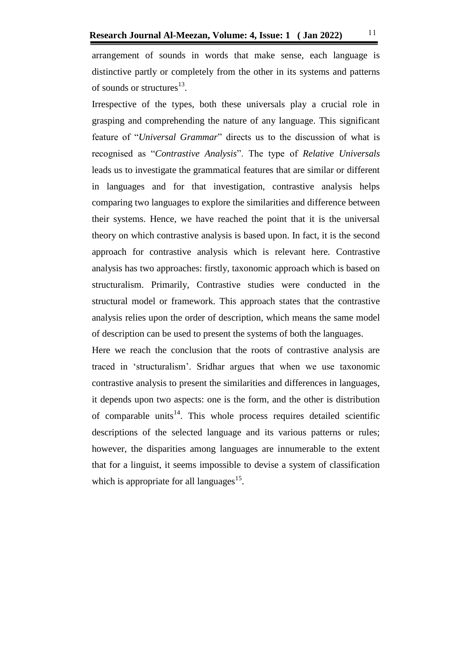arrangement of sounds in words that make sense, each language is distinctive partly or completely from the other in its systems and patterns of sounds or structures<sup>13</sup>.

Irrespective of the types, both these universals play a crucial role in grasping and comprehending the nature of any language. This significant feature of "*Universal Grammar*" directs us to the discussion of what is recognised as "*Contrastive Analysis*". The type of *Relative Universals* leads us to investigate the grammatical features that are similar or different in languages and for that investigation, contrastive analysis helps comparing two languages to explore the similarities and difference between their systems. Hence, we have reached the point that it is the universal theory on which contrastive analysis is based upon. In fact, it is the second approach for contrastive analysis which is relevant here. Contrastive analysis has two approaches: firstly, taxonomic approach which is based on structuralism. Primarily, Contrastive studies were conducted in the structural model or framework. This approach states that the contrastive analysis relies upon the order of description, which means the same model of description can be used to present the systems of both the languages.

Here we reach the conclusion that the roots of contrastive analysis are traced in 'structuralism'. Sridhar argues that when we use taxonomic contrastive analysis to present the similarities and differences in languages, it depends upon two aspects: one is the form, and the other is distribution of comparable units<sup>14</sup>. This whole process requires detailed scientific descriptions of the selected language and its various patterns or rules; however, the disparities among languages are innumerable to the extent that for a linguist, it seems impossible to devise a system of classification which is appropriate for all languages $^{15}$ .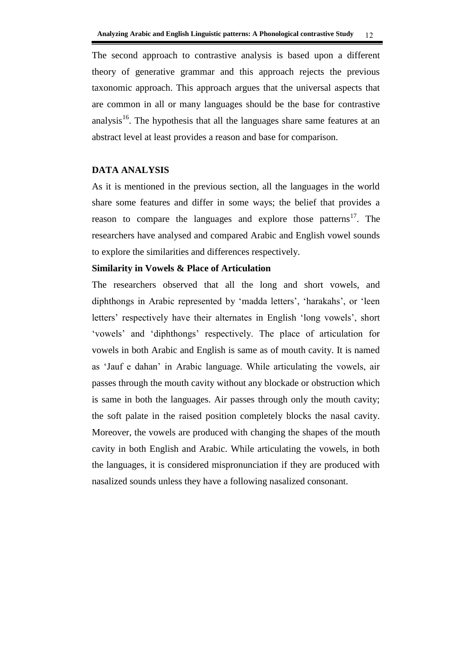The second approach to contrastive analysis is based upon a different theory of generative grammar and this approach rejects the previous taxonomic approach. This approach argues that the universal aspects that are common in all or many languages should be the base for contrastive analysis<sup>16</sup>. The hypothesis that all the languages share same features at an abstract level at least provides a reason and base for comparison.

## **DATA ANALYSIS**

As it is mentioned in the previous section, all the languages in the world share some features and differ in some ways; the belief that provides a reason to compare the languages and explore those patterns<sup>17</sup>. The researchers have analysed and compared Arabic and English vowel sounds to explore the similarities and differences respectively.

#### **Similarity in Vowels & Place of Articulation**

The researchers observed that all the long and short vowels, and diphthongs in Arabic represented by 'madda letters', 'harakahs', or 'leen letters' respectively have their alternates in English 'long vowels', short 'vowels' and 'diphthongs' respectively. The place of articulation for vowels in both Arabic and English is same as of mouth cavity. It is named as 'Jauf e dahan' in Arabic language. While articulating the vowels, air passes through the mouth cavity without any blockade or obstruction which is same in both the languages. Air passes through only the mouth cavity; the soft palate in the raised position completely blocks the nasal cavity. Moreover, the vowels are produced with changing the shapes of the mouth cavity in both English and Arabic. While articulating the vowels, in both the languages, it is considered mispronunciation if they are produced with nasalized sounds unless they have a following nasalized consonant.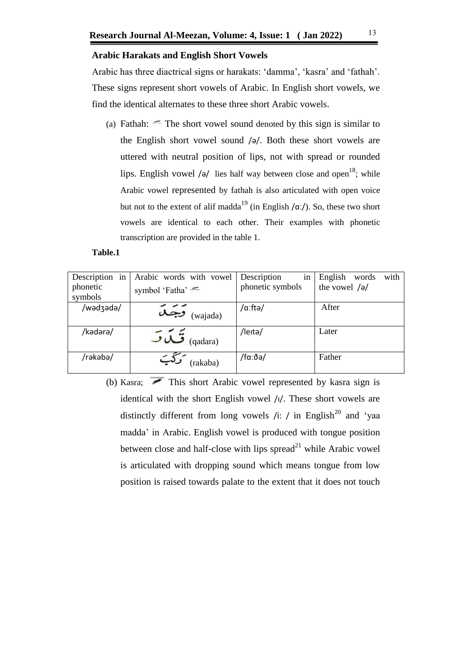### **Arabic Harakats and English Short Vowels**

Arabic has three diactrical signs or harakats: 'damma', 'kasra' and 'fathah'. These signs represent short vowels of Arabic. In English short vowels, we find the identical alternates to these three short Arabic vowels.

(a) Fathah:  $\equiv$  The short vowel sound denoted by this sign is similar to the English short vowel sound /ə/. Both these short vowels are uttered with neutral position of lips, not with spread or rounded lips. English vowel /ə/ lies half way between close and open<sup>18</sup>; while Arabic vowel represented by fathah is also articulated with open voice but not to the extent of alif madda<sup>19</sup> (in English / $\alpha$ ː/). So, these two short vowels are identical to each other. Their examples with phonetic transcription are provided in the table 1.

#### **Table.1**

| Description in<br>phonetic<br>symbols | Arabic words with vowel<br>symbol 'Fatha' $=$ | Description<br>in<br>phonetic symbols | with<br>English<br>words<br>the vowel $/a$ |
|---------------------------------------|-----------------------------------------------|---------------------------------------|--------------------------------------------|
| /wadzada/                             | $\widetilde{\mathcal{A}}$ جَمَعَة             | /a:ftə/                               | After                                      |
|                                       |                                               |                                       |                                            |
| /kədərə/                              | ق تما ت<br>(qadara)                           | /leitə/                               | Later                                      |
| /rəkəbə/                              | (rakaba)                                      | /faːðə/                               | Father                                     |

(b) Kasra;  $\overline{\phantom{a}}$  This short Arabic vowel represented by kasra sign is identical with the short English vowel /i/. These short vowels are distinctly different from long vowels /i: / in English<sup>20</sup> and 'yaa madda' in Arabic. English vowel is produced with tongue position between close and half-close with lips  $spread<sup>21</sup>$  while Arabic vowel is articulated with dropping sound which means tongue from low position is raised towards palate to the extent that it does not touch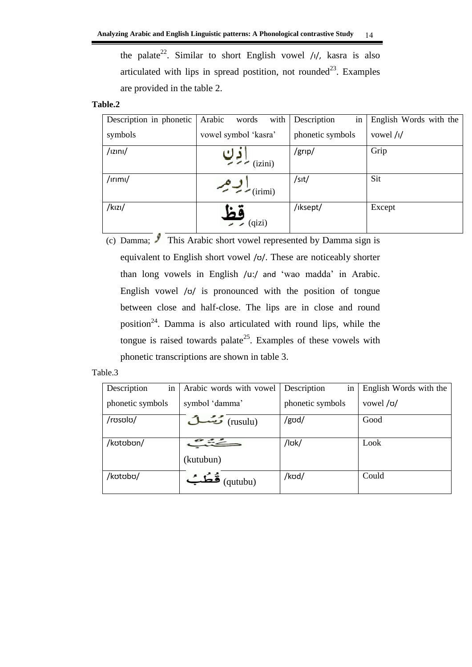the palate<sup>22</sup>. Similar to short English vowel  $/1/$ , kasra is also articulated with lips in spread postition, not rounded<sup>23</sup>. Examples are provided in the table 2.

# **Table.2**

| Description in phonetic  | Arabic<br>with<br>words           | Description<br>in | English Words with the     |
|--------------------------|-----------------------------------|-------------------|----------------------------|
| symbols                  | vowel symbol 'kasra'              | phonetic symbols  | vowel $\frac{1}{\sqrt{2}}$ |
| $/$ <sub>IZINI</sub> $/$ | (izini)                           | /grip/            | Grip                       |
| $/$ ırımı/               | $\sim$ $\frac{1}{\text{(irimi)}}$ | /s <sub>1</sub>   | Sit                        |
| $/k$ <sub>IZI</sub> $/$  | (qizi)                            | /iksept/          | Except                     |

<sup>(</sup>c) Damma;  $\sqrt{\frac{1}{2}}$  This Arabic short vowel represented by Damma sign is equivalent to English short vowel /ʊ/. These are noticeably shorter than long vowels in English /u:/ and 'wao madda' in Arabic. English vowel /ʊ/ is pronounced with the position of tongue between close and half-close. The lips are in close and round position<sup>24</sup>. Damma is also articulated with round lips, while the tongue is raised towards palate<sup>25</sup>. Examples of these vowels with phonetic transcriptions are shown in table 3.

| Description<br>in | Arabic words with vowel | Description<br>in | English Words with the |
|-------------------|-------------------------|-------------------|------------------------|
| phonetic symbols  | symbol 'damma'          | phonetic symbols  | vowel /o/              |
| /rosolo/          | (rusulu)                | /god/             | Good                   |
| /kotobon/         |                         | /lok/             | Look                   |
|                   | (kutubun)               |                   |                        |
| /kotobo/          | فُطُبُ<br>(qutubu)      | /kod/             | Could                  |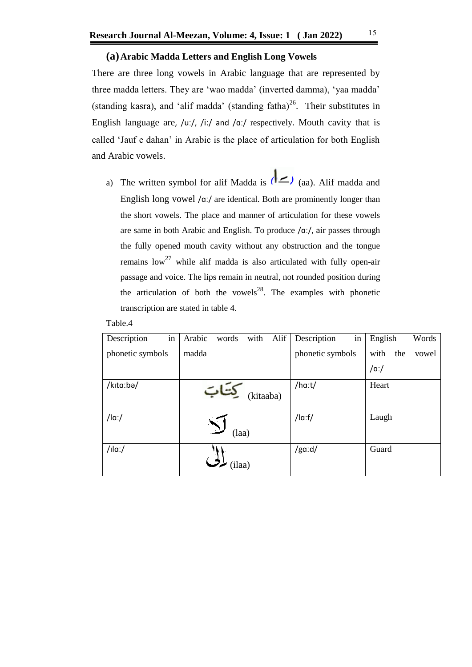#### **(a)Arabic Madda Letters and English Long Vowels**

There are three long vowels in Arabic language that are represented by three madda letters. They are 'wao madda' (inverted damma), 'yaa madda' (standing kasra), and 'alif madda' (standing fatha)<sup>26</sup>. Their substitutes in English language are, /uː/, /iː/ and /ɑː/ respectively. Mouth cavity that is called 'Jauf e dahan' in Arabic is the place of articulation for both English and Arabic vowels.

a) The written symbol for alif Madda is  $(a \rightarrow a)$  (aa). Alif madda and English long vowel /ɑː/ are identical. Both are prominently longer than the short vowels. The place and manner of articulation for these vowels are same in both Arabic and English. To produce /ɑː/, air passes through the fully opened mouth cavity without any obstruction and the tongue remains  $low^{27}$  while alif madda is also articulated with fully open-air passage and voice. The lips remain in neutral, not rounded position during the articulation of both the vowels<sup>28</sup>. The examples with phonetic transcription are stated in table 4.

| in<br>Description | Arabic<br>Alif<br>words<br>with | in<br>Description | English<br>Words     |
|-------------------|---------------------------------|-------------------|----------------------|
| phonetic symbols  | madda                           | phonetic symbols  | with<br>the<br>vowel |
|                   |                                 |                   | $/\alpha$ :/         |
| /kita:bə/         | تتات<br>(kitaaba)               | /ha:t/            | Heart                |
| $/$ la: $/$       | (laa)                           | $/$ la:f $/$      | Laugh                |
| $/$ ıla:/         | (ilaa)                          | /ga:d/            | Guard                |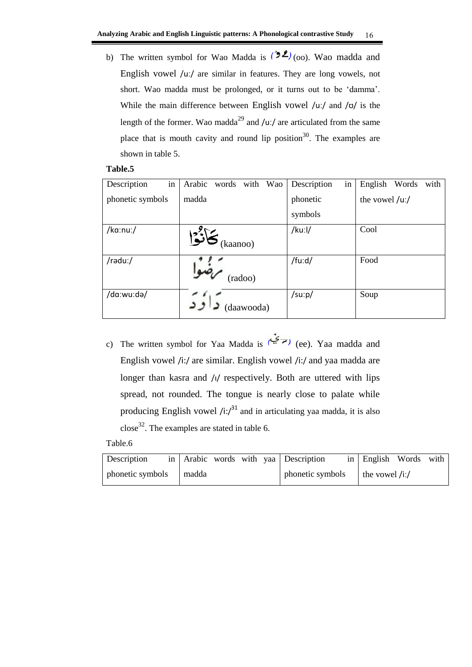b) The written symbol for Wao Madda is  $(22)_{(00)}$ . Wao madda and English vowel /uː/ are similar in features. They are long vowels, not short. Wao madda must be prolonged, or it turns out to be 'damma'. While the main difference between English vowel  $/u$ :/ and  $/v$  is the length of the former. Wao madda<sup>29</sup> and /uː/ are articulated from the same place that is mouth cavity and round lip position<sup>30</sup>. The examples are shown in table 5.

#### **Table.5**

| in<br>Description | Arabic<br>words<br>with<br>Wao | in<br>Description | English<br>Words<br>with |
|-------------------|--------------------------------|-------------------|--------------------------|
| phonetic symbols  | madda                          | phonetic          | the vowel $/$ u: $/$     |
|                   |                                | symbols           |                          |
| /ka:nu:/          | كأنؤا<br>(kaanoo)              | /kuːl/            | Cool                     |
| /rəduː/           | (radoo)                        | /fuːd/            | Food                     |
| /da:wu:də/        | (daawooda)                     | /suːp/            | Soup                     |

c) The written symbol for Yaa Madda is ( $\overline{z}$ ) (ee). Yaa madda and English vowel /i:/ are similar. English vowel /i:/ and yaa madda are longer than kasra and /i/ respectively. Both are uttered with lips spread, not rounded. The tongue is nearly close to palate while producing English vowel  $/i$ : $i^{31}$  and in articulating yaa madda, it is also  $\csc^{32}$ . The examples are stated in table 6.

| Description      |       |  | in Arabic words with yaa Description | in English Words with |  |
|------------------|-------|--|--------------------------------------|-----------------------|--|
| phonetic symbols | madda |  | phonetic symbols                     | the vowel $/i$ :/     |  |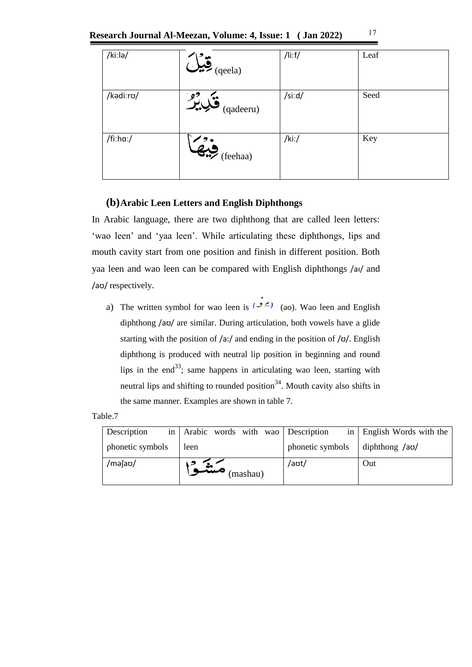| Research Journal Al-Meezan, Volume: 4, Issue: 1 ( Jan 2022) |  |  |  |
|-------------------------------------------------------------|--|--|--|
|-------------------------------------------------------------|--|--|--|

| /kiːlə/   | $\sum_{\text{(qeela)}}$        | /li:f/ | Leaf |
|-----------|--------------------------------|--------|------|
| /kadi:ro/ | $\mathcal{L}$ انگریز (qadeeru) | /si:d/ | Seed |
| /fi:ha:/  | $\overline{\bullet}$ (feehaa)  | /ki:/  | Key  |

# **(b)Arabic Leen Letters and English Diphthongs**

In Arabic language, there are two diphthong that are called leen letters: 'wao leen' and 'yaa leen'. While articulating these diphthongs, lips and mouth cavity start from one position and finish in different position. Both yaa leen and wao leen can be compared with English diphthongs /aɪ/ and /aʊ/ respectively.

a) The written symbol for wao leen is ( $\geq$  (ao). Wao leen and English diphthong /aʊ/ are similar. During articulation, both vowels have a glide starting with the position of  $a$ :/ and ending in the position of  $\alpha$ . English diphthong is produced with neutral lip position in beginning and round lips in the end<sup>33</sup>; same happens in articulating wao leen, starting with neutral lips and shifting to rounded position<sup>34</sup>. Mouth cavity also shifts in the same manner. Examples are shown in table 7.

| Description      | in Arabic words with wao Description |                  | in   English Words with the |
|------------------|--------------------------------------|------------------|-----------------------------|
| phonetic symbols | leen                                 | phonetic symbols | diphthong /ao/              |
| /məfao/          | (mashau)                             | /aʊt/            | Out                         |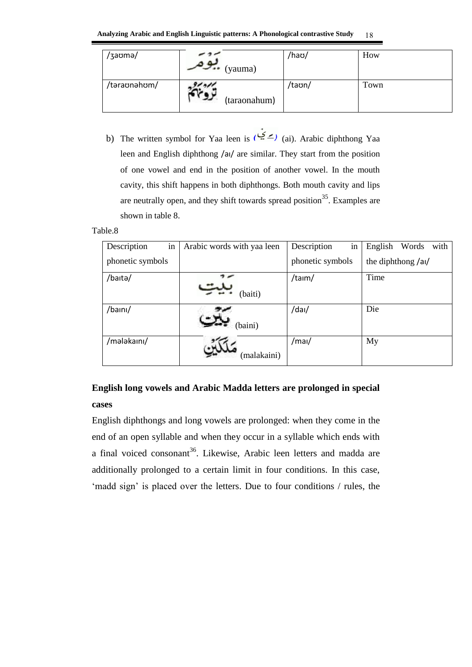| /3aoma/      | $\sim$ $\sim$ (yauma) | /haʊ/  | How  |
|--------------|-----------------------|--------|------|
| /təraʊnəhʊm/ | (taraonahum)          | /taʊn/ | Town |

b) The written symbol for Yaa leen is ( $\leq$ ) (ai). Arabic diphthong Yaa leen and English diphthong /aɪ/ are similar. They start from the position of one vowel and end in the position of another vowel. In the mouth cavity, this shift happens in both diphthongs. Both mouth cavity and lips are neutrally open, and they shift towards spread position<sup>35</sup>. Examples are shown in table 8.

# Table.8

| Description      | in | Arabic words with yaa leen | in<br>Description | English<br>Words<br>with |
|------------------|----|----------------------------|-------------------|--------------------------|
| phonetic symbols |    |                            | phonetic symbols  | the diphthong /al/       |
| /baita/          |    | (baiti)                    | /taim/            | Time                     |
| /baini/          |    | (baini)                    | /dai/             | Die                      |
| /mələkaini/      |    | (malakaini)                | /mai/             | My                       |

# **English long vowels and Arabic Madda letters are prolonged in special cases**

English diphthongs and long vowels are prolonged: when they come in the end of an open syllable and when they occur in a syllable which ends with a final voiced consonant<sup>36</sup>. Likewise, Arabic leen letters and madda are additionally prolonged to a certain limit in four conditions. In this case, 'madd sign' is placed over the letters. Due to four conditions / rules, the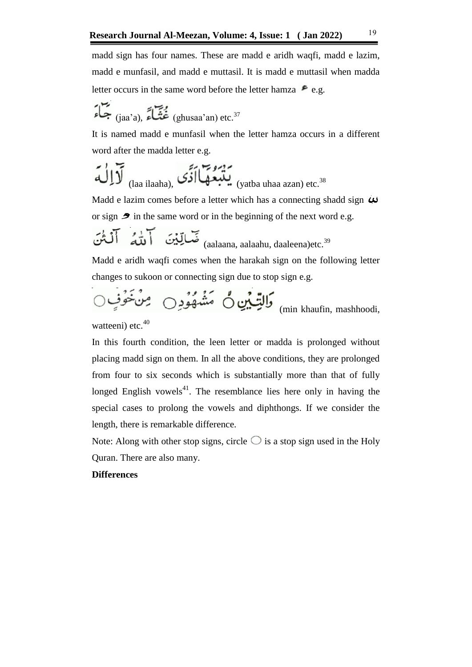madd sign has four names. These are madd e aridh waqfi, madd e lazim, madd e munfasil, and madd e muttasil. It is madd e muttasil when madda letter occurs in the same word before the letter hamza  $\epsilon$  e.g.

$$
\sum_{(jaa'a),}^{n} \sum_{n=1}^{n} \sum_{j=1}^{n} (ghusaa'an) \text{ etc.}^{37}
$$

It is named madd e munfasil when the letter hamza occurs in a different word after the madda letter e.g.

$$
\underbrace{\mathbf{\bar{v}}}_{\text{(laa ilaaha)}}, \underbrace{\mathbf{\bar{v}}}_{\text{if}} \underbrace{\mathbf{\bar{v}}}_{\text{(yatba uhaa azan) etc.}^{38}}
$$

Madd e lazim comes before a letter which has a connecting shadd sign  $\boldsymbol{\omega}$ or sign  $\clubsuit$  in the same word or in the beginning of the next word e.g.

$$
\overline{\text{Lip}}_{\text{(aalaana, aalaahu, daaleena)etc.}}^{\text{29}}
$$

Madd e aridh waqfi comes when the harakah sign on the following letter changes to sukoon or connecting sign due to stop sign e.g.

(min khaufin, mashhoodi,

watteeni) etc. $40$ 

In this fourth condition, the leen letter or madda is prolonged without placing madd sign on them. In all the above conditions, they are prolonged from four to six seconds which is substantially more than that of fully longed English vowels<sup>41</sup>. The resemblance lies here only in having the special cases to prolong the vowels and diphthongs. If we consider the length, there is remarkable difference.

Note: Along with other stop signs, circle  $\bigcirc$  is a stop sign used in the Holy Quran. There are also many.

# **Differences**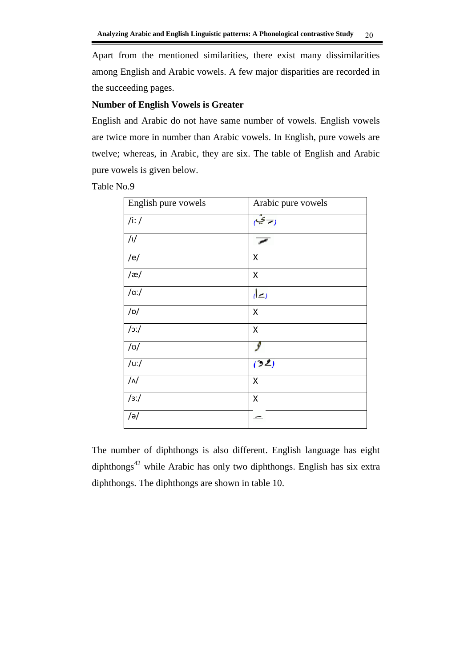Apart from the mentioned similarities, there exist many dissimilarities among English and Arabic vowels. A few major disparities are recorded in the succeeding pages.

# **Number of English Vowels is Greater**

English and Arabic do not have same number of vowels. English vowels are twice more in number than Arabic vowels. In English, pure vowels are twelve; whereas, in Arabic, they are six. The table of English and Arabic pure vowels is given below.

Table No.9

| English pure vowels | Arabic pure vowels       |
|---------------------|--------------------------|
| /i: /               | ر۔ ئیب                   |
| /                   |                          |
| /e/                 | Χ                        |
| $/\mathfrak{E}/$    | X                        |
| $/\alpha$ :/        | رہے)                     |
| /p/                 | $\pmb{\mathsf{X}}$       |
| $j$ c/              | Χ                        |
| $/\sigma/$          |                          |
| /u:/                | (32)                     |
| $/\sqrt{ }$         | Χ                        |
| $/3$ :/             | Χ                        |
| $/\partial$         | $\overline{\phantom{0}}$ |

The number of diphthongs is also different. English language has eight diphthongs<sup>42</sup> while Arabic has only two diphthongs. English has six extra diphthongs. The diphthongs are shown in table 10.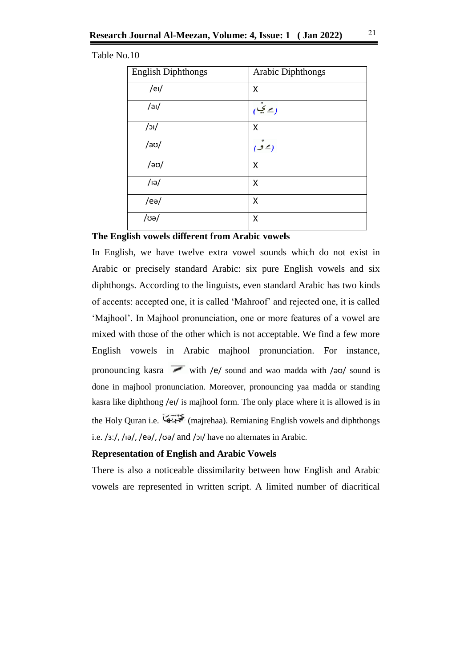#### Table No.10

| <b>English Diphthongs</b> | <b>Arabic Diphthongs</b> |
|---------------------------|--------------------------|
| /el/                      | Χ                        |
| /ai/                      | (پە ئىيى                 |
| $/$ וכ $/$                | Χ                        |
| $/$ aʊ $/$                | (2ف)                     |
| /əʊ/                      | X                        |
| $/$ iə $/$                | X                        |
| /ee                       | X                        |
| /ʊə/                      | Χ                        |

# **The English vowels different from Arabic vowels**

In English, we have twelve extra vowel sounds which do not exist in Arabic or precisely standard Arabic: six pure English vowels and six diphthongs. According to the linguists, even standard Arabic has two kinds of accents: accepted one, it is called 'Mahroof' and rejected one, it is called 'Majhool'. In Majhool pronunciation, one or more features of a vowel are mixed with those of the other which is not acceptable. We find a few more English vowels in Arabic majhool pronunciation. For instance, pronouncing kasra with /e/ sound and wao madda with / $\frac{1}{10}$  sound is done in majhool pronunciation. Moreover, pronouncing yaa madda or standing kasra like diphthong /ei/ is majhool form. The only place where it is allowed is in the Holy Quran i.e. (majrehaa). Remianing English vowels and diphthongs i.e. /3ː/, /iə/, /eə/, /ʊə/ and /ɔɪ/ have no alternates in Arabic.

#### **Representation of English and Arabic Vowels**

There is also a noticeable dissimilarity between how English and Arabic vowels are represented in written script. A limited number of diacritical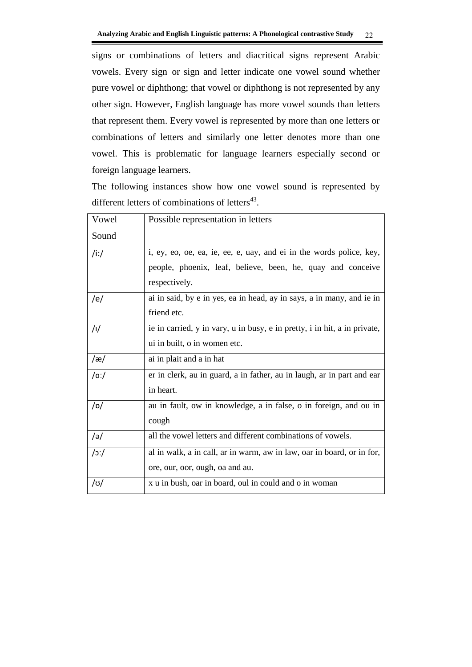signs or combinations of letters and diacritical signs represent Arabic vowels. Every sign or sign and letter indicate one vowel sound whether pure vowel or diphthong; that vowel or diphthong is not represented by any other sign. However, English language has more vowel sounds than letters that represent them. Every vowel is represented by more than one letters or combinations of letters and similarly one letter denotes more than one vowel. This is problematic for language learners especially second or foreign language learners.

The following instances show how one vowel sound is represented by different letters of combinations of letters $43$ .

| Vowel           | Possible representation in letters                                        |
|-----------------|---------------------------------------------------------------------------|
| Sound           |                                                                           |
| /i:/            | i, ey, eo, oe, ea, ie, ee, e, uay, and ei in the words police, key,       |
|                 | people, phoenix, leaf, believe, been, he, quay and conceive               |
|                 | respectively.                                                             |
| /e/             | ai in said, by e in yes, ea in head, ay in says, a in many, and ie in     |
|                 | friend etc.                                                               |
| /               | ie in carried, y in vary, u in busy, e in pretty, i in hit, a in private, |
|                 | ui in built, o in women etc.                                              |
| /æ/             | ai in plait and a in hat                                                  |
| $/\alpha$ :/    | er in clerk, au in guard, a in father, au in laugh, ar in part and ear    |
|                 | in heart.                                                                 |
| /p/             | au in fault, ow in knowledge, a in false, o in foreign, and ou in         |
|                 | cough                                                                     |
| $\sqrt{e}$      | all the vowel letters and different combinations of vowels.               |
| $\int$ : $\int$ | al in walk, a in call, ar in warm, aw in law, oar in board, or in for,    |
|                 | ore, our, oor, ough, oa and au.                                           |
| /ʊ/             | x u in bush, oar in board, oul in could and o in woman                    |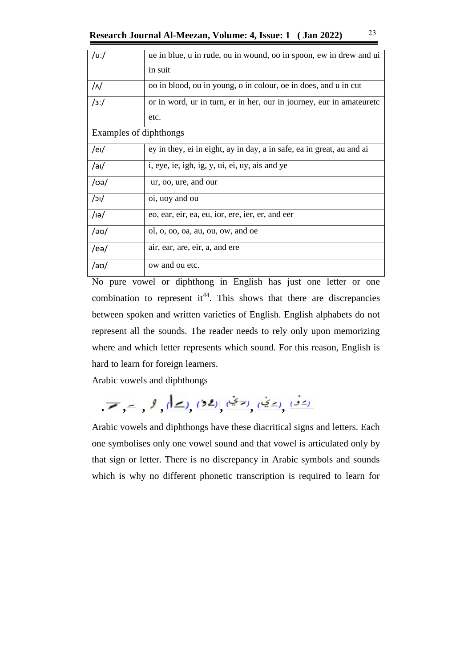| /uː/                   | ue in blue, u in rude, ou in wound, oo in spoon, ew in drew and ui    |
|------------------------|-----------------------------------------------------------------------|
|                        | in suit                                                               |
| /N                     | oo in blood, ou in young, o in colour, oe in does, and u in cut       |
| 13:1                   | or in word, ur in turn, er in her, our in journey, eur in amateuretc  |
|                        | etc.                                                                  |
| Examples of diphthongs |                                                                       |
| /el/                   | ey in they, ei in eight, ay in day, a in safe, ea in great, au and ai |
| $/$ al $/$             | i, eye, ie, igh, ig, y, ui, ei, uy, ais and ye                        |
| /ʊə/                   | ur, oo, ure, and our                                                  |
| $/$ וכ $/$             | oi, uoy and ou                                                        |
| $/$ iə $/$             | eo, ear, eir, ea, eu, ior, ere, ier, er, and eer                      |
| /әʊ/                   | ol, $o$ , $oo$ , $oa$ , $au$ , $ou$ , $ow$ , and $oe$                 |
| /eə/                   | air, ear, are, eir, a, and ere                                        |
| /aʊ/                   | ow and ou etc.                                                        |

No pure vowel or diphthong in English has just one letter or one combination to represent it<sup>44</sup>. This shows that there are discrepancies between spoken and written varieties of English. English alphabets do not represent all the sounds. The reader needs to rely only upon memorizing where and which letter represents which sound. For this reason, English is hard to learn for foreign learners.

Arabic vowels and diphthongs

 **. , , , , , , ,** 

Arabic vowels and diphthongs have these diacritical signs and letters. Each one symbolises only one vowel sound and that vowel is articulated only by that sign or letter. There is no discrepancy in Arabic symbols and sounds which is why no different phonetic transcription is required to learn for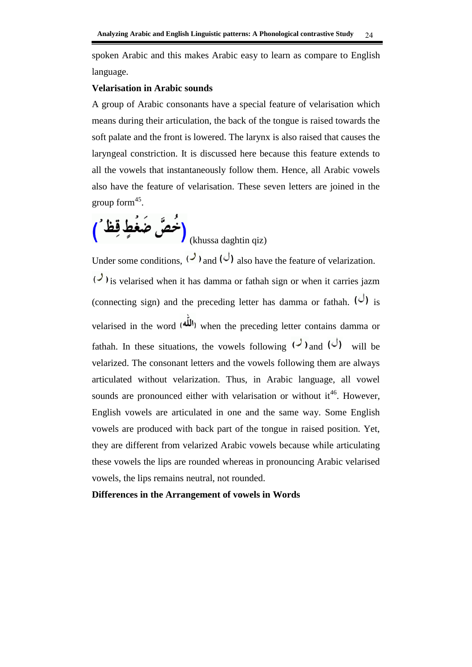spoken Arabic and this makes Arabic easy to learn as compare to English language.

#### **Velarisation in Arabic sounds**

A group of Arabic consonants have a special feature of velarisation which means during their articulation, the back of the tongue is raised towards the soft palate and the front is lowered. The larynx is also raised that causes the laryngeal constriction. It is discussed here because this feature extends to all the vowels that instantaneously follow them. Hence, all Arabic vowels also have the feature of velarisation. These seven letters are joined in the group form $45$ .



Under some conditions,  $(2)$  and  $(3)$  also have the feature of velarization.  $\left(\frac{1}{\sqrt{2}}\right)$  is velarised when it has damma or fathah sign or when it carries jazm (connecting sign) and the preceding letter has damma or fathah.  $\left(\frac{1}{1}\right)$  is velarised in the word (اللّه) when the preceding letter contains damma or fathah. In these situations, the vowels following  $($ ) and  $($  $)$  will be velarized. The consonant letters and the vowels following them are always articulated without velarization. Thus, in Arabic language, all vowel sounds are pronounced either with velarisation or without  $it^{46}$ . However, English vowels are articulated in one and the same way. Some English vowels are produced with back part of the tongue in raised position. Yet, they are different from velarized Arabic vowels because while articulating these vowels the lips are rounded whereas in pronouncing Arabic velarised vowels, the lips remains neutral, not rounded.

**Differences in the Arrangement of vowels in Words**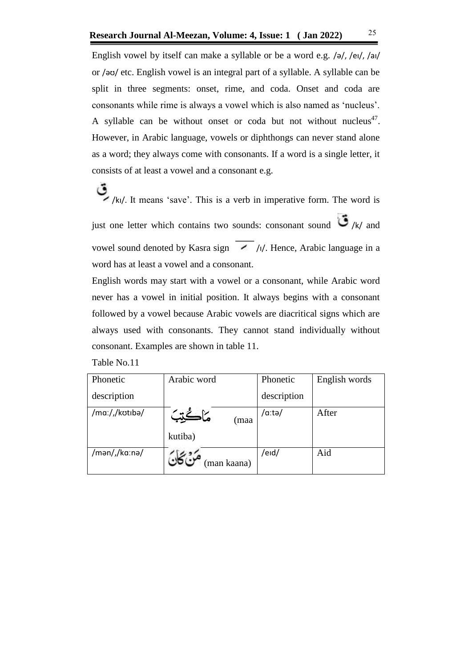English vowel by itself can make a syllable or be a word e.g. /ə/, /eɪ/, /aɪ/ or /əʊ/ etc. English vowel is an integral part of a syllable. A syllable can be split in three segments: onset, rime, and coda. Onset and coda are consonants while rime is always a vowel which is also named as 'nucleus'. A syllable can be without onset or coda but not without nucleus<sup>47</sup>. However, in Arabic language, vowels or diphthongs can never stand alone as a word; they always come with consonants. If a word is a single letter, it consists of at least a vowel and a consonant e.g.

 $\sum_{k=1}^{\infty}$ /ki/. It means 'save'. This is a verb in imperative form. The word is just one letter which contains two sounds: consonant sound  $\bigcirc$  /k/ and vowel sound denoted by Kasra sign  $\angle$  /i/. Hence, Arabic language in a word has at least a vowel and a consonant.

English words may start with a vowel or a consonant, while Arabic word never has a vowel in initial position. It always begins with a consonant followed by a vowel because Arabic vowels are diacritical signs which are always used with consonants. They cannot stand individually without consonant. Examples are shown in table 11.

| Table No.11 |  |  |  |  |  |  |
|-------------|--|--|--|--|--|--|
|-------------|--|--|--|--|--|--|

| Phonetic       | Arabic word | Phonetic    | English words |
|----------------|-------------|-------------|---------------|
| description    |             | description |               |
| /maː/,/kʊtɪbə/ | (maa        | /aːtə/      | After         |
|                | kutiba)     |             |               |
| /mən/,/kaːnə/  | (man kaana) | /eid/       | Aid           |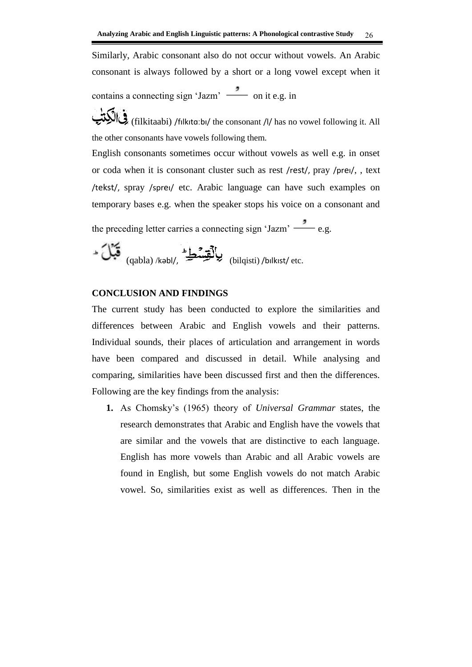Similarly, Arabic consonant also do not occur without vowels. An Arabic consonant is always followed by a short or a long vowel except when it contains a connecting sign 'Jazm'  $\frac{1}{\sqrt{2}}$  on it e.g. in

(filkitaabi) /fɪlkɪtɑːbɪ/ the consonant /l/ has no vowel following it. All the other consonants have vowels following them.

English consonants sometimes occur without vowels as well e.g. in onset or coda when it is consonant cluster such as rest /rest/, pray /preɪ/, , text /tekst/, spray /spreɪ/ etc. Arabic language can have such examples on temporary bases e.g. when the speaker stops his voice on a consonant and

the preceding letter carries a connecting sign 'Jazm'  $\frac{3}{\sqrt{2}}$  e.g.

$$
\begin{picture}(120,10) \put(0,0){\vector(0,1){30}} \put(0,0){\vector(0,1){30}} \put(15,0){\vector(0,1){30}} \put(15,0){\vector(0,1){30}} \put(15,0){\vector(0,1){30}} \put(15,0){\vector(0,1){30}} \put(15,0){\vector(0,1){30}} \put(15,0){\vector(0,1){30}} \put(15,0){\vector(0,1){30}} \put(15,0){\vector(0,1){30}} \put(15,0){\vector(0,1){30}} \put(15,0){\vector(0,1){30}} \put(15,0){\vector(0,1){30}} \put(15,0){\vector(0,1){30}} \put(15,0){\vector(0,1){30}} \put(15,0){\vector(0,1){30}} \put(15,0){\vector(0,1){30}} \put(15,0){\vector(0,1){30}} \put(15,0){\vector(0,1){30}} \put(15,0){\vector(0,1){30}} \put(15,0){\vector(0,1){30}} \put(15,0){\vector(0,1){30}} \put(15,0){\vector(0,1){30}} \put(15,0){\vector(0,1){30}} \put(15,0){\vector(0,1){30}} \put(15,0){\vector(0,1){30}} \put(15,0){\vector(0,1){30}} \put(15,0){\vector(0,1){30}} \put(15,0){\vector(0,1){30}} \put(15,0){\vector(0,1){30}} \put(15,0){\vector(0,1){30}} \put(15,0){\vector(0,1){30}} \put(15,0){\vector(0,1){30}} \put(15,0){\vector(0,1){30}} \put(15,0){\vector(0,1){30}} \put(15,0){\vector(0,1){30}} \put(15,0){\vector(0,1){30}} \put(15,0){\vector(0,1){30}} \put(15,0){\vector(0,1){30}} \put(15,0){\vector(0,1){30}} \put(15,0){\vector(0,1){30}} \put(15,0){\vector(0
$$

# **CONCLUSION AND FINDINGS**

The current study has been conducted to explore the similarities and differences between Arabic and English vowels and their patterns. Individual sounds, their places of articulation and arrangement in words have been compared and discussed in detail. While analysing and comparing, similarities have been discussed first and then the differences. Following are the key findings from the analysis:

**1.** As Chomsky's (1965) theory of *Universal Grammar* states, the research demonstrates that Arabic and English have the vowels that are similar and the vowels that are distinctive to each language. English has more vowels than Arabic and all Arabic vowels are found in English, but some English vowels do not match Arabic vowel. So, similarities exist as well as differences. Then in the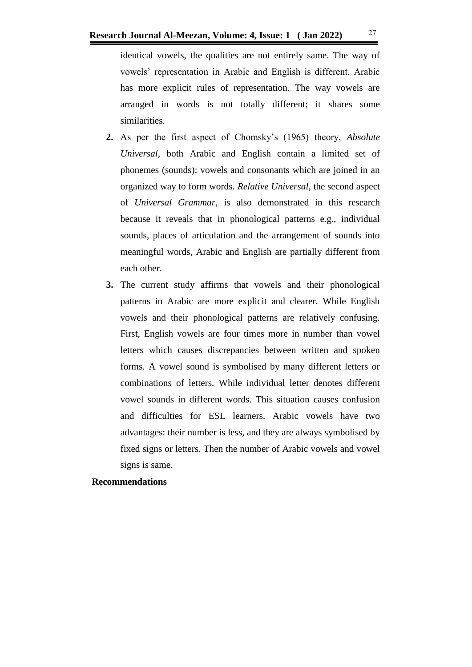identical vowels, the qualities are not entirely same. The way of vowels' representation in Arabic and English is different. Arabic has more explicit rules of representation. The way vowels are arranged in words is not totally different; it shares some similarities.

- **2.** As per the first aspect of Chomsky's (1965) theory, *Absolute Universal,* both Arabic and English contain a limited set of phonemes (sounds): vowels and consonants which are joined in an organized way to form words. *Relative Universal*, the second aspect of *Universal Grammar,* is also demonstrated in this research because it reveals that in phonological patterns e.g., individual sounds, places of articulation and the arrangement of sounds into meaningful words, Arabic and English are partially different from each other.
- **3.** The current study affirms that vowels and their phonological patterns in Arabic are more explicit and clearer. While English vowels and their phonological patterns are relatively confusing. First, English vowels are four times more in number than vowel letters which causes discrepancies between written and spoken forms. A vowel sound is symbolised by many different letters or combinations of letters. While individual letter denotes different vowel sounds in different words. This situation causes confusion and difficulties for ESL learners. Arabic vowels have two advantages: their number is less, and they are always symbolised by fixed signs or letters. Then the number of Arabic vowels and vowel signs is same.

# **Recommendations**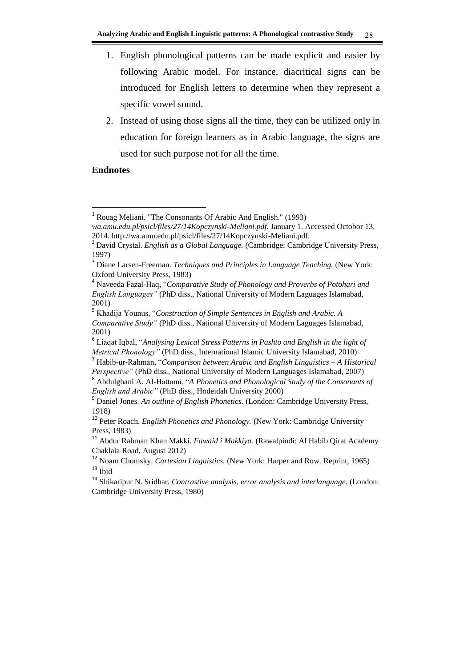- 1. English phonological patterns can be made explicit and easier by following Arabic model. For instance, diacritical signs can be introduced for English letters to determine when they represent a specific vowel sound.
- 2. Instead of using those signs all the time, they can be utilized only in education for foreign learners as in Arabic language, the signs are used for such purpose not for all the time.

# **Endnotes**

-

<sup>&</sup>lt;sup>1</sup> Rouag Meliani. "The Consonants Of Arabic And English." (1993)

*wa.amu.edu.pl/psicl/files/27/14Kopczynski-Meliani.pdf.* January 1. Accessed Octobor 13, 2014. http://wa.amu.edu.pl/psicl/files/27/14Kopczynski-Meliani.pdf.

<sup>2</sup> David Crystal. *English as a Global Language.* (Cambridge: Cambridge University Press, 1997)

<sup>3</sup> Diane Larsen-Freeman. *Techniques and Principles in Language Teaching.* (New York: Oxford University Press, 1983)

<sup>4</sup> Naveeda Fazal-Haq, "*Comparative Study of Phonology and Proverbs of Potohari and English Languages"* (PhD diss., National University of Modern Laguages Islamabad, 2001)

<sup>5</sup> Khadija Younus, "*Construction of Simple Sentences in English and Arabic. A Comparative Study"* (PhD diss., National University of Modern Laguages Islamabad, 2001)

<sup>6</sup> Liaqat Iqbal, "*Analysing Lexical Stress Patterns in Pashto and English in the light of Metrical Phonology"* (PhD diss., International Islamic University Islamabad, 2010)

<sup>7</sup> Habib-ur-Rahman, "*Comparison between Arabic and English Linguistics – A Historical Perspective"* (PhD diss., National University of Modern Languages Islamabad, 2007)

<sup>8</sup> Abdulghani A. Al-Hattami, "*A Phonetics and Phonological Study of the Consonants of English and Arabic"* (PhD diss., Hodeidah University 2000)

<sup>9</sup> Daniel Jones. *An outline of English Phonetics.* (London: Cambridge University Press, 1918)

<sup>10</sup> Peter Roach. *English Phonetics and Phonology.* (New York: Cambridge University Press, 1983)

<sup>11</sup> Abdur Rahman Khan Makki. *Fawaid i Makkiya.* (Rawalpindi: Al Habib Qirat Academy Chaklala Road, August 2012)

<sup>12</sup> Noam Chomsky. *Cartesian Linguistics.* (New York: Harper and Row. Reprint, 1965)  $13$  Ibid

<sup>14</sup> Shikaripur N. Sridhar. *Contrastive analysis, error analysis and interlanguage.* (London: Cambridge University Press, 1980)